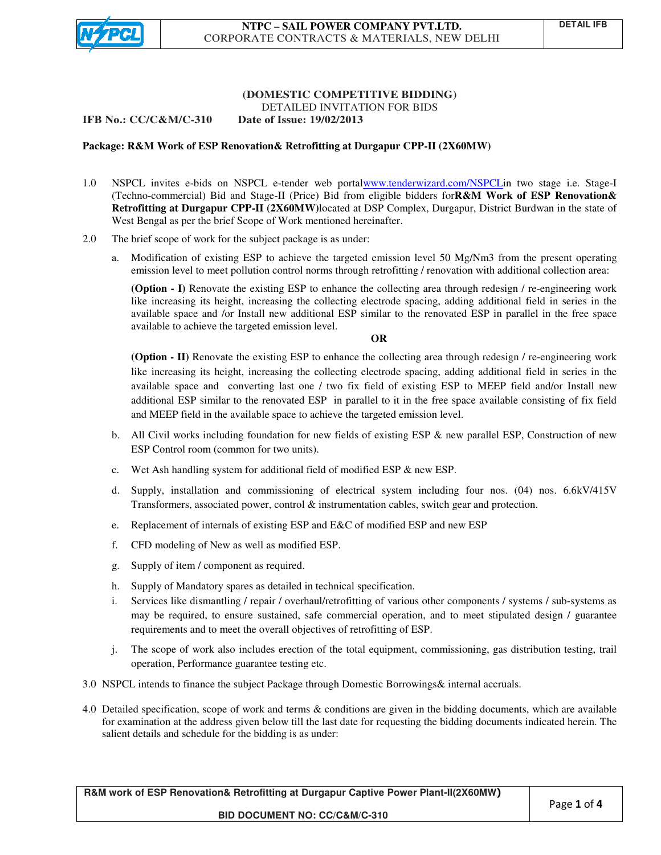

### **(DOMESTIC COMPETITIVE BIDDING) COMPETITIVE** DETAILED INVITATION FOR BIDS

**IFB No.: CC/C&M/C-310 19/02/2013**

# **Package: R&M Work of ESP Renovation Renovation& Retrofitting at Durgapur CPP-II (2X60MW)**

- 1.0 NSPCL invites e-bids on NSPCL e-tender web portalwww.tenderwizard.com/NSPCLin two stage i.e. Stage-I (Techno-commercial) Bid and Stage-II (Price) Bid from eligible bidders for**R&M Work of ESP Renovation&** Retrofitting at Durgapur CPP-II (2X60MW)located at DSP Complex, Durgapur, District Burdwan in the state of West Bengal as per the brief Scope of Work mentioned hereinafter.
- 2.0 The brief scope of work for the subject package is as under:
	- a. Modification of existing ESP to achieve the targeted emission level 50 Mg/Nm3 from the present operating emission level to meet pollution control norms through retrofitting / renovation with additional collection area: Modification of existing ESP to achieve the targeted emission level 50 Mg/Nm3 from the present operating emission level to meet pollution control norms through retrofitting / renovation with additional collection area:<br>(**O**

like increasing its height, increasing the collecting electrode spacing, adding additional field in series in the available space and /or Install new additional ESP similar to the renovated ESP in parallel in the free space like increasing its height, increasing the colled available space and /or Install new additional available to achieve the targeted emission level.

## **OR**

**(Option - II)** Renovate the existing ESP to enhance the collecting area through redesign / re-engineering work like increasing its height, increasing the collecting electrode spacing, adding additional field in series in the (Option - II) Renovate the existing ESP to enhance the collecting area through redesign / re-engineering work<br>like increasing its height, increasing the collecting electrode spacing, adding additional field in series in th additional ESP similar to the renovated ESP in parallel to it in the free space available consisting of fix field and MEEP field in the available space to achieve the targeted emission level. and MEEP field in the available space to achieve the targeted emission level. **EXECUTE CONTRACTS & MATERIALS, NEW DELHI<br>
CORPORATE CONTRACTS & MATERIALS, NEW DELHI<br>
(DOMESTIC COMPRETTIVE RIDDING)<br>
IDENTIFY (CORPORATE CONTRACTS & MATERIALS, NEW DELHI<br>
(DOMESTIC COMPRETTIVE) RUBLEM (DOMESTIC COMPRETT** one / two fix field of existing ESP to MEEP field and/or Install new<br>ed ESP in parallel to it in the free space available consisting of fix field<br>to achieve the targeted emission level.<br>for new fields of existing ESP & ne

- b. All Civil works including foundation for new fields of existing ESP & new parallel ESP, Construction of new ESP Control room (common for two units). d. All Civil works including foundation for new fields of existing ESP & new parallel ESP, Construction of new<br>ESP Control room (common for two units).<br>c. Wet Ash handling system for additional field of modified ESP & new
- c. Wet Ash handling system for additional field of modified ESP & new ESP.
- Transformers, associated power, control & instrumentation cables, switch gear and protection.
- Transformers, associated power, control & instrumentation cables, switch gear and<br>e. Replacement of internals of existing ESP and E&C of modified ESP and new ESP
- f. CFD modeling of New as well as modified ESP.
- g. Supply of item / component as required.
- h. Supply of Mandatory spares as detailed in technical specification.
- i. Services like dismantling / repair / overhaul/retrofitting of various other components / systems / sub-systems as may be required, to ensure sustained, safe commercial operation, and to meet stipulated design / guarantee requirements and to meet the overall objectives of retrofitting of ESP. i. Services like dismantling / repair / overhaul/retrofitting of various other components / systems / sub-systems as<br>may be required, to ensure sustained, safe commercial operation, and to meet stipulated design / guarante
- operation, Performance guarantee testing etc. the imissioning, gas distribution testing,<br>the internal accruals.<br>e bidding documents, which are avail
- 3.0 NSPCL intends to finance the subject Package through Domestic Borrowings & internal accruals.
- 4.0 Detailed specification, scope of work and terms & conditions are given in the bidding documents, which are available for examination at the address given below till the last date for requesting the bidding documents indicated herein. The salient details and schedule for the bidding is as under:

**R&M work of ESP Renovation& Retrofitting at Durgapur & Retrofitting at Captive Power Plant-II(2X60MW II(2X60MW) BID DOCUMENT NO: CC/C&M/C-310**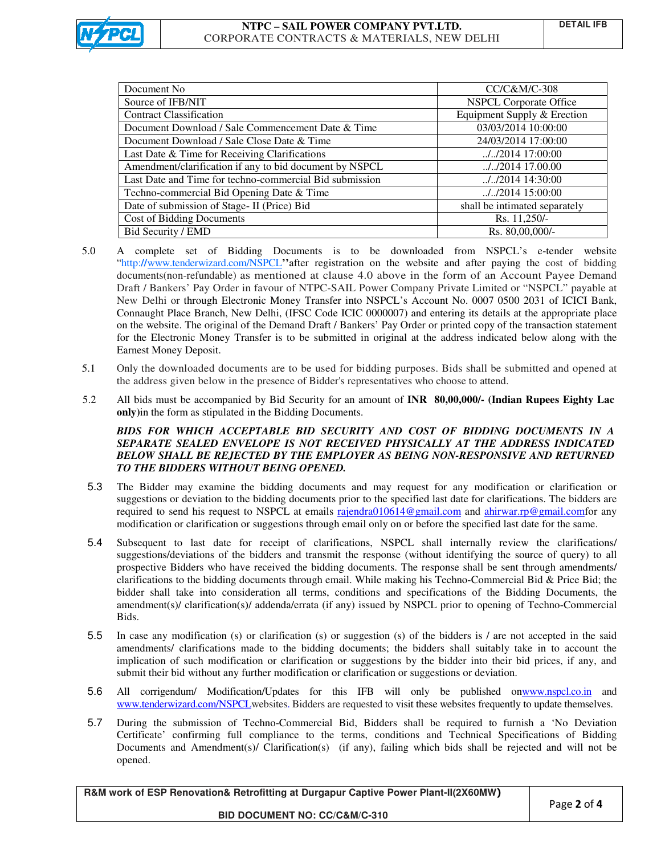

|                                                         | NTPC - SAIL POWER COMPANY PVT.LTD.<br>CORPORATE CONTRACTS & MATERIALS, NEW DELHI                                                                                                                                                                                                                                                                                                                                                                                                                                                                                                                                                                                                               |                               | <b>DETAIL IFB</b> |
|---------------------------------------------------------|------------------------------------------------------------------------------------------------------------------------------------------------------------------------------------------------------------------------------------------------------------------------------------------------------------------------------------------------------------------------------------------------------------------------------------------------------------------------------------------------------------------------------------------------------------------------------------------------------------------------------------------------------------------------------------------------|-------------------------------|-------------------|
|                                                         |                                                                                                                                                                                                                                                                                                                                                                                                                                                                                                                                                                                                                                                                                                |                               |                   |
| Document No                                             |                                                                                                                                                                                                                                                                                                                                                                                                                                                                                                                                                                                                                                                                                                | CC/C&M/C-308                  |                   |
| Source of IFB/NIT                                       |                                                                                                                                                                                                                                                                                                                                                                                                                                                                                                                                                                                                                                                                                                | <b>NSPCL Corporate Office</b> |                   |
| <b>Contract Classification</b>                          |                                                                                                                                                                                                                                                                                                                                                                                                                                                                                                                                                                                                                                                                                                | Equipment Supply & Erection   |                   |
| Document Download / Sale Commencement Date & Time       |                                                                                                                                                                                                                                                                                                                                                                                                                                                                                                                                                                                                                                                                                                | 03/03/2014 10:00:00           |                   |
|                                                         | Document Download / Sale Close Date & Time                                                                                                                                                                                                                                                                                                                                                                                                                                                                                                                                                                                                                                                     | 24/03/2014 17:00:00           |                   |
| Last Date & Time for Receiving Clarifications           |                                                                                                                                                                                                                                                                                                                                                                                                                                                                                                                                                                                                                                                                                                | //2014 17:00:00               |                   |
| Amendment/clarification if any to bid document by NSPCL |                                                                                                                                                                                                                                                                                                                                                                                                                                                                                                                                                                                                                                                                                                | //2014 17.00.00               |                   |
| Last Date and Time for techno-commercial Bid submission |                                                                                                                                                                                                                                                                                                                                                                                                                                                                                                                                                                                                                                                                                                | //2014 14:30:00               |                   |
| Techno-commercial Bid Opening Date & Time               |                                                                                                                                                                                                                                                                                                                                                                                                                                                                                                                                                                                                                                                                                                | //2014 15:00:00               |                   |
| Date of submission of Stage- II (Price) Bid             |                                                                                                                                                                                                                                                                                                                                                                                                                                                                                                                                                                                                                                                                                                | shall be intimated separately |                   |
|                                                         | <b>Cost of Bidding Documents</b>                                                                                                                                                                                                                                                                                                                                                                                                                                                                                                                                                                                                                                                               | Rs. 11,250/-                  |                   |
|                                                         | Bid Security / EMD                                                                                                                                                                                                                                                                                                                                                                                                                                                                                                                                                                                                                                                                             | Rs. 80,00,000/-               |                   |
|                                                         | A complete set of Bidding Documents is to be downloaded from NSPCL's e-tender websi                                                                                                                                                                                                                                                                                                                                                                                                                                                                                                                                                                                                            |                               |                   |
|                                                         | documents(non-refundable) as mentioned at clause 4.0 above in the form of an Account Payee Demar<br>Draft / Bankers' Pay Order in favour of NTPC-SAIL Power Company Private Limited or "NSPCL" payable<br>New Delhi or through Electronic Money Transfer into NSPCL's Account No. 0007 0500 2031 of ICICI Ban<br>Connaught Place Branch, New Delhi, (IFSC Code ICIC 0000007) and entering its details at the appropriate place<br>on the website. The original of the Demand Draft / Bankers' Pay Order or printed copy of the transaction stateme<br>for the Electronic Money Transfer is to be submitted in original at the address indicated below along with the<br>Earnest Money Deposit. |                               |                   |
|                                                         | Only the downloaded documents are to be used for bidding purposes. Bids shall be submitted and opened<br>the address given below in the presence of Bidder's representatives who choose to attend.                                                                                                                                                                                                                                                                                                                                                                                                                                                                                             |                               |                   |
|                                                         | All bids must be accompanied by Bid Security for an amount of <b>INR 80,00,000/- (Indian Rupees Eighty La</b><br>only) in the form as stipulated in the Bidding Documents.                                                                                                                                                                                                                                                                                                                                                                                                                                                                                                                     |                               |                   |
|                                                         | BIDS FOR WHICH ACCEPTABLE BID SECURITY AND COST OF BIDDING DOCUMENTS IN .<br>SEPARATE SEALED ENVELOPE IS NOT RECEIVED PHYSICALLY AT THE ADDRESS INDICATEI<br>BELOW SHALL BE REJECTED BY THE EMPLOYER AS BEING NON-RESPONSIVE AND RETURNEI<br>TO THE BIDDERS WITHOUT BEING OPENED.                                                                                                                                                                                                                                                                                                                                                                                                              |                               |                   |
|                                                         | The Bidder may examine the bidding documents and may request for any modification or clarification<br>suggestions or deviation to the bidding documents prior to the specified last date for clarifications. The bidders a<br>required to send his request to NSPCL at emails rajendra010614@gmail.com and ahirwar.rp@gmail.comfor are<br>modification or clarification or suggestions through email only on or before the specified last date for the same.                                                                                                                                                                                                                                   |                               |                   |
| Bids.                                                   | Subsequent to last date for receipt of clarifications, NSPCL shall internally review the clarification<br>suggestions/deviations of the bidders and transmit the response (without identifying the source of query) to a<br>prospective Bidders who have received the bidding documents. The response shall be sent through amendment<br>clarifications to the bidding documents through email. While making his Techno-Commercial Bid & Price Bid; tl<br>bidder shall take into consideration all terms, conditions and specifications of the Bidding Documents, tl<br>amendment(s)/ clarification(s)/ addenda/errata (if any) issued by NSPCL prior to opening of Techno-Commerci            |                               |                   |
|                                                         | In case any modification (s) or clarification (s) or suggestion (s) of the bidders is $\ell$ are not accepted in the sa<br>amendments/ clarifications made to the bidding documents; the bidders shall suitably take in to account the<br>implication of such modification or clarification or suggestions by the bidder into their bid prices, if any, are<br>submit their bid without any further modification or clarification or suggestions or deviation.                                                                                                                                                                                                                                 |                               |                   |
|                                                         | All corrigendum/ Modification/Updates for this IFB will only be published onwww.nspcl.co.in an<br>www.tenderwizard.com/NSPCLwebsites. Bidders are requested to visit these websites frequently to update themselves                                                                                                                                                                                                                                                                                                                                                                                                                                                                            |                               |                   |
|                                                         | During the submission of Techno-Commercial Bid, Bidders shall be required to furnish a 'No Deviation<br>Certificate' confirming full compliance to the terms, conditions and Technical Specifications of Biddir                                                                                                                                                                                                                                                                                                                                                                                                                                                                                |                               |                   |

- 5.0 A complete set of Bidding Documents is to be downloaded from NSPCL's e-tender website "http://www.tenderwizard.com/NSPCL''after registration on the website and after paying the cost of bidding documents(non-refundable) as mentioned at clause 4.0 above in the form of an Account Payee Demand Draft / Bankers' Pay Order in favour of NTPC-SAIL Power Company Private Limited or "NSPCL" payable at New Delhi or through Electronic Money Transfer into NSPCL's Account No. 0007 0500 2031 of ICICI Bank, New Delhi or through Electronic Money Transfer into NSPCL's Account No. 0007 0500 2031 of ICICI Bank,<br>Connaught Place Branch, New Delhi, (IFSC Code ICIC 0000007) and entering its details at the appropriate place on the website. The original of the Demand Draft / Bankers' Pay Order or printed copy of the transaction statement for the Electronic Money Transfer is to be submitted in original at the address indicated below along with the Earnest Money Deposit. Favour of NTPC-SAIL Power Company Private Limited or "NSPCL" payable<br>ic Money Transfer into NSPCL's Account No. 0007 0500 2031 of ICICI Ban<br>Delhi, (IFSC Code ICIC 0000007) and entering its details at the appropriate pla<br>he
- 5.1 Only the downloaded documents are to be used for bidding purposes. Bids shall be submitted and opened at the address given below in the presence of Bidder's representatives who choose to attend.
- 5.2 5.2 All bids must be accompanied by Bid Security for an amount of **INR 80,00,000/- (Indian Rupees Eighty Lac** only) in the form as stipulated in the Bidding Documents.

- 5.3 The Bidder may examine the bidding documents and may request for any modification or clarification or suggestions or deviation to the bidding documents prior to the specified last date for clarifications. The bidders are required to send his request to NSPCL at emails **rajendra010614@gmail.com** and **ahirwar.rp@gmail.comfor** any modification or clarification or suggestions through email only on or before the specified last date for the same. may examine the bidding documents and may request for any modification or clarifications. The bidding documents prior to the specified last date for clarifications. The bidding send his request to NSPCL at emails <u>rajendr</u>
- 5.4 Subsequent to last date for receipt of clarifications, NSPCL shall internally review the clarifications/ suggestions/deviations of the bidders and transmit the response (without identifying the source of query) to all prospective Bidders who have received the bidding documents. The response shall be sent through amendments/ Subsequent to last date for receipt of clarifications, NSPCL shall internally review the clarifications/<br>suggestions/deviations of the bidders and transmit the response (without identifying the source of query) to all<br>pros bidder shall take into consideration all terms, conditions and specifications of the Bidding Documents, the clarifications to the bidding documents through email. While making his Techno-Commercial Bid & Price Bid; the<br>bidder shall take into consideration all terms, conditions and specifications of the Bidding Documents, the<br>ame Bids. amendment(s)/ clarification(s)/ addenda/errata (if any) issued by NSPCL prior to opening of Techno-Commercial<br>Bids.<br>5.5 In case any modification (s) or clarification (s) or suggestion (s) of the bidders is / are not accept
- amendments/ clarifications made to the bidding documents; the bidders shall suitably take in to account the implication of such modification or clarification or suggestions by the bidder into their bid prices, if any, and submit their bid without any further modification or clarification or suggestions or deviation. lments/ clarifications made to the bidding documents; the bidders shall suitably take in to account ation of such modification or clarification or suggestions by the bidder into their bid prices, if any, t their bid withou e any modification (s) or clarification (s) or suggestion (s) of the bidders is / are not accepted in the said lments/ clarifications made to the bidding documents; the bidders shall suitably take in to account the ration
- 5.6 All corrigendum/ Modification/Updates for this IFB will only be published on All corrigendum/ Modification/Updates for this IFB will only be published onwww.nspcl.co.in and<br>www.tenderwizard.com/NSPCLwebsites. Bidders are requested to visit these websites frequently to update themselves.
- www.tenderwizard.com/NSPCLwebsites. Bidders are requested to visit these websites frequently to update themselves.<br>5.7 During the submission of Techno-Commercial Bid, Bidders shall be required to furnish a 'No Deviation Certificate' confirming full compliance to the terms, conditions and Technical Specifications of Bidding Documents and Amendment(s)/ Clarification(s) (if any), failing which bids shall be rejected and will not be opened.

**R&M work of ESP Renovation& Retrofitting at Durgapur & Retrofitting at Captive Power Plant-II(2X60MW II(2X60MW)**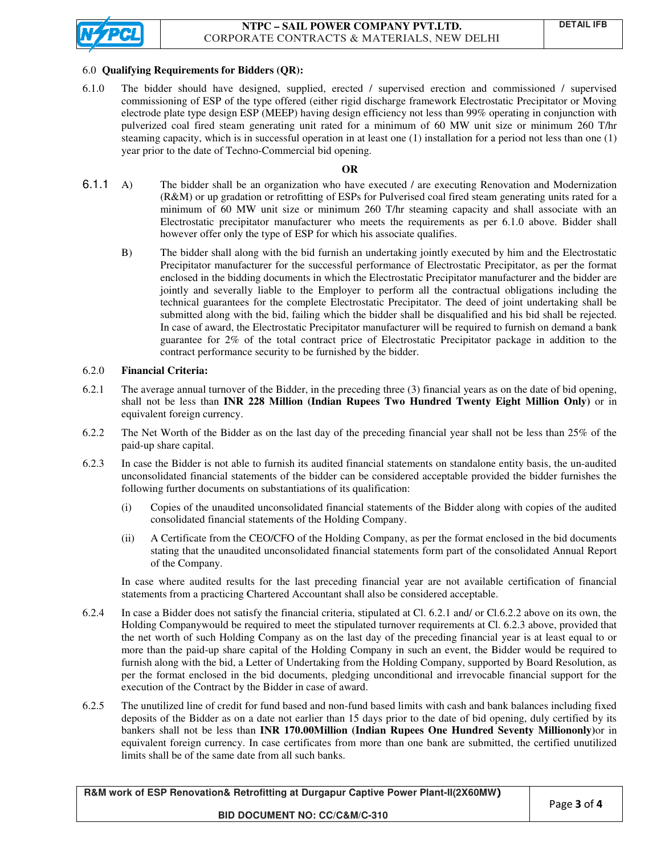

#### 6.0 **Qualifying Requirements for Bidders (QR): for Bidders**

6.1.0 The bidder should have designed, supplied, erected / supervised erection and commissioned / supervised commissioning of ESP of the type offered (either rigid discharge framework Electrostatic Precipitator or Moving electrode plate type design ESP (MEEP) having design efficiency not less than 99% operating in conjunction with pulverized coal fired steam generating unit rated for a minimum of 60 MW unit size or minimum 260 T/hr steaming capacity, which is in successful operation in at least one  $(1)$  installation for a period not less than one  $(1)$ year prior to the date of Techno-Commercial bid opening. oning of ESP of the type offered (either rigid discharge framework Electrostatic Precipitator or Moving<br>plate type design ESP (MEEP) having design efficiency not less than 99% operating in conjunction with<br>d coal fired ste

## **OR**

- 6.1.1 A) The bidder shall be an organization who have executed / are executing Renovation and Modernization (R&M) or up gradation or retrofitting of ESPs for Pulverised coal fired steam generating units rated for a minimum of 60 MW unit size or minimum 260 T/hr steaming capacity and shall associate with an Electrostatic precipitator manufacturer who meets the requirements as per 6.1.0 above. Bidder shall however offer only the type of ESP for which his associate qualifies. acity, which is in successful operation in at least one (1) installation for a period not less than one (1)<br>the date of Techno-Commercial bid opening.<br>**OR**<br>bidder shall be an organization who have executed / are executing
	- B) The bidder shall along with the bid furnish an undertaking jointly executed by him and the Electrostatic The bidder shall along with the bid furnish an undertaking jointly executed by him and the Electrostatic<br>Precipitator manufacturer for the successful performance of Electrostatic Precipitator, as per the format enclosed in the bidding documents in which the Electrostatic Precipitator manufacturer and the bidder are jointly and severally liable to the Employer to perform all the contractual obligations including the technical guarantees for the complete Electrostatic Precipitator. The deed of joint undertaking shall be submitted along with the bid, failing which the bidder shall be disqualified and his bid shall be rejected. In case of award, the Electrostatic Precipitator manufacturer will be required to furnish on demand a bank guarantee for 2% of the total contract price of Electrostatic Precipitator package in addition to the contract performance security to be furnished by the bidder. enclosed in the bidding documents in which the Electrostatic Precipitator manufacturer and the bidder are jointly and severally liable to the Employer to perform all the contractual obligations including the technical guar ipitator, as per the format<br>facturer and the bidder are<br>obligations including the

#### 6.2.0 **Financial Criteria:**  Ì

- 6.2.1 The average annual turnover of the Bidder, in the preceding three (3) financial years as on the date of bid opening, shall not be less than INR 228 Million (Indian Rupees Two Hundred Twenty Eight Million Only) or in equivalent foreign currency.
- 6.2.2 The Net Worth of the Bidder as on the last day of the preceding financial year shall not be less than 25% of the paid-up share capital. 6.2.2 The Net Worth of the Bidder as on the last day of the preceding financial year shall not be less than 25% of the paid-up share capital.<br>6.2.3 In case the Bidder is not able to furnish its audited financial statements
- unconsolidated financial statements of the bidder can be considered acceptable provided the bidder furnishes the following further documents on substantiations of its qualification: following further documents on substantiations of its qualification
- (i) Copies of the unaudited u unaudited unconsolidated financial statements of the Bidder along with copies of the audited consolidated financial statements of the Holding Company. (i) Copies of the unaudited unconsolidated financial statements of the Bidder along with copies of the audited<br>consolidated financial statements of the Holding Company.<br>(ii) A Certificate from the CEO/CFO of the Holding Co
	- stating that the unaudited unconsolidated financial statements form part of the consolidated of the Company. n the CEO/CFO of the Holding Company, as per the format enclosed in the bid documents<br>naudited unconsolidated financial statements form part of the consolidated Annual Report<br>results for the last preceding financial year a Annual Report

In case where audited results for the last preceding financial year are not available certification of financial<br>statements from a practicing Chartered Accountant shall also be considered acceptable.<br>In case a Bidder does statements from a practicing Chartered Accountant shall also be considered acceptable.

- statements from a practicing Chartered Accountant shall also be considered acceptable.<br>6.2.4 In case a Bidder does not satisfy the financial criteria, stipulated at Cl. 6.2.1 and/ or Cl. Holding Companywould be required to meet the stipulated turnover requirements at Cl. 6.2.3 above, provided that the net worth of such Holding Company as on the last day of the preceding financial year is at least equal to or more than the paid-up share capital of the Holding Company in such an event, the Bidder would be required to more than the paid-up share capital of the Holding Company in such an event, the Bidder would be required to<br>furnish along with the bid, a Letter of Undertaking from the Holding Company, supported by Board Resolution, as per the format enclosed in the bid documents, bid documents, pledging unconditional and irrevocable financial support for the execution of the Contract by the Bidder in case of award. ywould be required to meet the stipulated turnover requirements at Cl. 6.2.3 above, provided that<br>such Holding Company as on the last day of the preceding financial year is at least equal to or<br>id-up share capital of the H
- execution of the Contract by the Bidder in case of award.<br>6.2.5 The unutilized line of credit for fund based and non-fund based limits with cash and bank balances including fixed per the format enclosed in the bid documents, pledging unconditional and irrevocable financial support for the<br>execution of the Contract by the Bidder in case of award.<br>The unutilized line of credit for fund based and nonbankers shall not be less than **INR 170.00Million (Indian Rupees One Hundred Seventy Milliononly)** or in equivalent foreign currency. In case certificates from more than one bank are submitted, the certified unutilized limits shall be of the same date from all such banks.

| R&M work of ESP Renovation& Retrofitting at Durgapur Captive Power Plant-II(2X60MW) |  |
|-------------------------------------------------------------------------------------|--|
| <b>BID DOCUMENT NO: CC/C&amp;M/C-310</b>                                            |  |